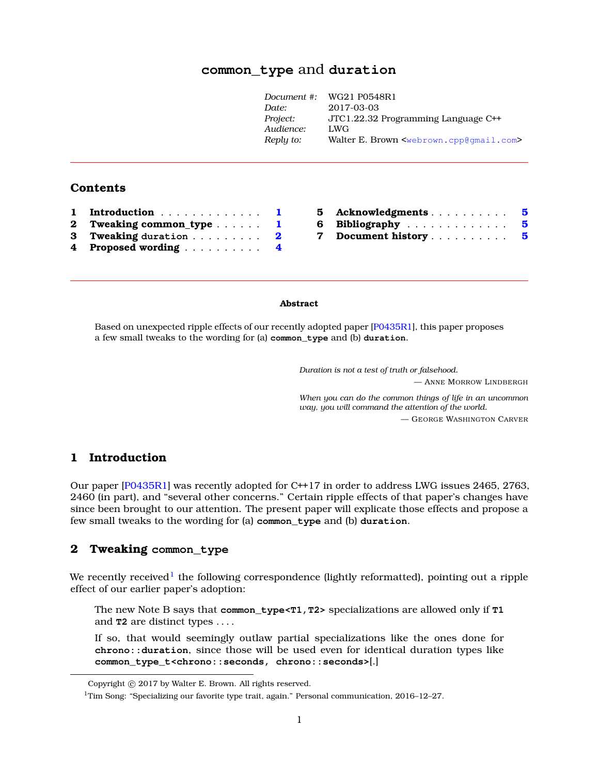# **common\_type** and **duratio[n](#page-0-0)**

| Document #: | WG21 P0548R1                                                    |
|-------------|-----------------------------------------------------------------|
| Date:       | 2017-03-03                                                      |
| Project:    | JTC1.22.32 Programming Language C++                             |
| Audience:   | LWG                                                             |
| Reply to:   | Walter E. Brown <webrown.cpp@qmail.com></webrown.cpp@qmail.com> |
|             |                                                                 |

# **Contents**

| 1 Introduction           | $\mathbf{I}$ |
|--------------------------|--------------|
| 2 Tweaking common_type 1 |              |
| 3 Tweaking duration 2    |              |
| 4 Proposed wording 4     |              |

| 5 Acknowledgments    |  |  |  |  |  | 5  |
|----------------------|--|--|--|--|--|----|
| 6 Bibliography       |  |  |  |  |  | -5 |
| 7 Document history 5 |  |  |  |  |  |    |

#### **Abstract**

Based on unexpected ripple effects of our recently adopted paper [\[P0435R1\]](#page-4-3), this paper proposes a few small tweaks to the wording for (a) **common\_type** and (b) **duration**.

*Duration is not a test of truth or falsehood.*

— ANNE MORROW LINDBERGH

*When you can do the common things of life in an uncommon way, you will command the attention of the world.* — GEORGE WASHINGTON CARVER

# <span id="page-0-1"></span>**1 Introduction**

Our paper [\[P0435R1\]](#page-4-3) was recently adopted for C++17 in order to address LWG issues 2465, 2763, 2460 (in part), and "several other concerns." Certain ripple effects of that paper's changes have since been brought to our attention. The present paper will explicate those effects and propose a few small tweaks to the wording for (a) **common\_type** and (b) **duration**.

## <span id="page-0-2"></span>**2 Tweaking common\_type**

We recently received $^{\rm l}$  the following correspondence (lightly reformatted), pointing out a ripple effect of our earlier paper's adoption:

The new Note B says that **common\_type<T1,T2>** specializations are allowed only if **T1** and **T2** are distinct types . . . .

If so, that would seemingly outlaw partial specializations like the ones done for **chrono::duration**, since those will be used even for identical duration types like **common\_type\_t<chrono::seconds, chrono::seconds>**[.]

<span id="page-0-0"></span>Copyright © 2017 by Walter E. Brown. All rights reserved.

<span id="page-0-3"></span><sup>&</sup>lt;sup>1</sup>Tim Song: "Specializing our favorite type trait, again." Personal communication, 2016–12–27.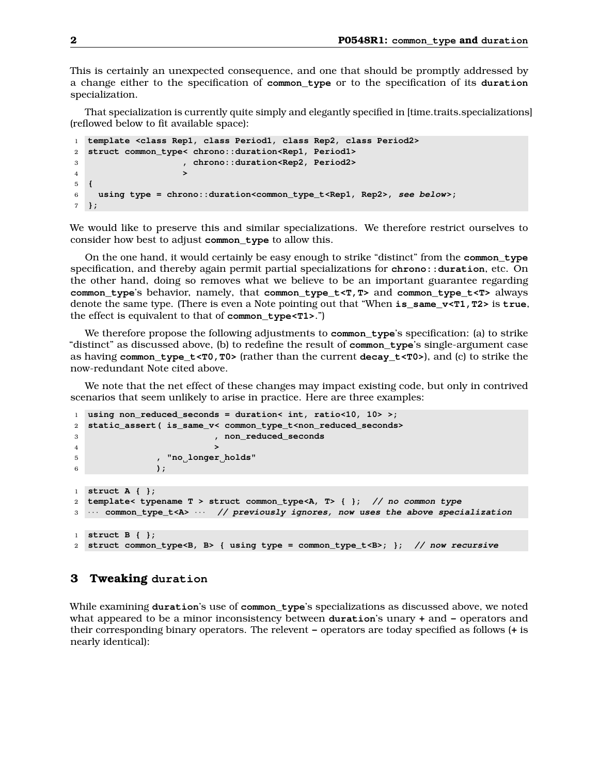This is certainly an unexpected consequence, and one that should be promptly addressed by a change either to the specification of **common\_type** or to the specification of its **duration** specialization.

That specialization is currently quite simply and elegantly specified in [time.traits.specializations] (reflowed below to fit available space):

```
1 template <class Rep1, class Period1, class Rep2, class Period2>
2 struct common_type< chrono::duration<Rep1, Period1>
3 , chrono::duration<Rep2, Period2>
4 >
5 {
6 using type = chrono::duration<common_type_t<Rep1, Rep2>, see below>;
7 };
```
We would like to preserve this and similar specializations. We therefore restrict ourselves to consider how best to adjust **common\_type** to allow this.

On the one hand, it would certainly be easy enough to strike "distinct" from the **common\_type** specification, and thereby again permit partial specializations for **chrono::duration**, etc. On the other hand, doing so removes what we believe to be an important guarantee regarding **common\_type**'s behavior, namely, that **common\_type\_t<T,T>** and **common\_type\_t<T>** always denote the same type. (There is even a Note pointing out that "When **is\_same\_v<T1,T2>** is **true**, the effect is equivalent to that of **common\_type<T1>**.")

We therefore propose the following adjustments to **common\_type**'s specification: (a) to strike "distinct" as discussed above, (b) to redefine the result of **common\_type**'s single-argument case as having **common\_type\_t<T0,T0>** (rather than the current **decay\_t<T0>**), and (c) to strike the now-redundant Note cited above.

We note that the net effect of these changes may impact existing code, but only in contrived scenarios that seem unlikely to arise in practice. Here are three examples:

```
1 using non_reduced_seconds = duration< int, ratio<10, 10> >;
2 static_assert( is_same_v< common_type_t<non_reduced_seconds>
3 , non_reduced_seconds
4 >
5 , "no longer holds"
6 );
1 struct A { };
2 template< typename T > struct common_type<A, T> { }; // no common type
3 · · · common_type_t<A> · · · // previously ignores, now uses the above specialization
1 struct B { };
2 struct common_type<B, B> { using type = common_type_t<B>; }; // now recursive
```
### <span id="page-1-0"></span>**3 Tweaking duration**

While examining **duration**'s use of **common\_type**'s specializations as discussed above, we noted what appeared to be a minor inconsistency between **duration**'s unary **+** and **-** operators and their corresponding binary operators. The relevent **-** operators are today specified as follows (**+** is nearly identical):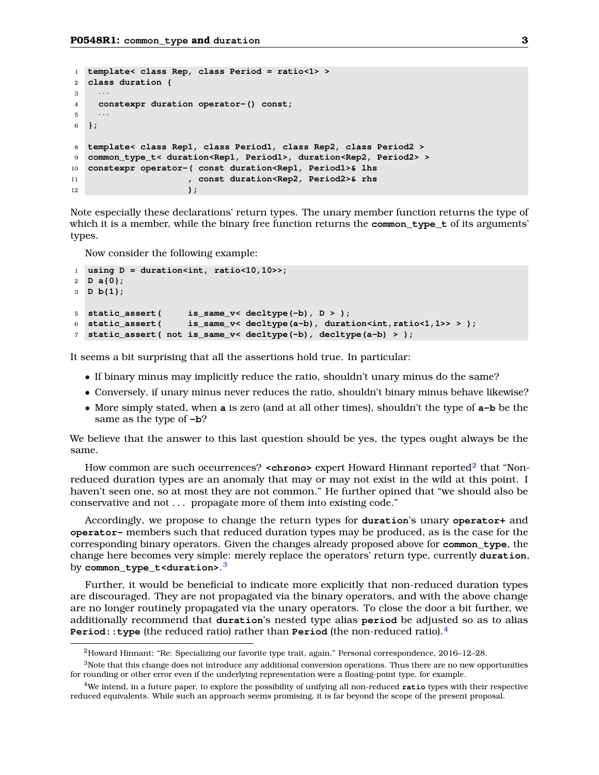```
1 template< class Rep, class Period = ratio<1> >
2 class duration {
\overline{3}4 constexpr duration operator-() const;
5<sup>5</sup>6 };
8 template< class Rep1, class Period1, class Rep2, class Period2 >
9 common_type_t< duration<Rep1, Period1>, duration<Rep2, Period2> >
10 constexpr operator-( const duration<Rep1, Period1>& lhs
11 , const duration<Rep2, Period2>& rhs
12 );
```
Note especially these declarations' return types. The unary member function returns the type of which it is a member, while the binary free function returns the **common\_type\_t** of its arguments' types.

Now consider the following example:

```
1 using D = duration<int, ratio<10,10>>;
2 D a{0};
3 D b{1};
5 static_assert( is_same_v< decltype(-b), D > );
6 static_assert( is_same_v< decltype(a-b), duration<int,ratio<1,1>> > );
7 static_assert( not is_same_v< decltype(-b), decltype(a-b) > );
```
It seems a bit surprising that all the assertions hold true. In particular:

- If binary minus may implicitly reduce the ratio, shouldn't unary minus do the same?
- Conversely, if unary minus never reduces the ratio, shouldn't binary minus behave likewise?
- More simply stated, when **a** is zero (and at all other times), shouldn't the type of **a-b** be the same as the type of **-b**?

We believe that the answer to this last question should be yes, the types ought always be the same.

How common are such occurrences? **<chrono>** expert Howard Hinnant reported<sup>[2](#page-2-0)</sup> that "Nonreduced duration types are an anomaly that may or may not exist in the wild at this point. I haven't seen one, so at most they are not common." He further opined that "we should also be conservative and not . . . propagate more of them into existing code."

Accordingly, we propose to change the return types for **duration**'s unary **operator+** and **operator-** members such that reduced duration types may be produced, as is the case for the corresponding binary operators. Given the changes already proposed above for **common\_type**, the change here becomes very simple: merely replace the operators' return type, currently **duration**, by **common\_type\_t<duration>**. [3](#page-2-1)

Further, it would be beneficial to indicate more explicitly that non-reduced duration types are discouraged. They are not propagated via the binary operators, and with the above change are no longer routinely propagated via the unary operators. To close the door a bit further, we additionally recommend that **duration**'s nested type alias **period** be adjusted so as to alias **Period::type** (the reduced ratio) rather than **Period** (the non-reduced ratio).[4](#page-2-2)

<span id="page-2-1"></span><span id="page-2-0"></span><sup>2</sup>Howard Hinnant: "Re: Specializing our favorite type trait, again." Personal correspondence, 2016–12–28.

<sup>3</sup>Note that this change does not introduce any additional conversion operations. Thus there are no new opportunities for rounding or other error even if the underlying representation were a floating-point type, for example.

<span id="page-2-2"></span><sup>4</sup>We intend, in a future paper, to explore the possibility of unifying all non-reduced **ratio** types with their respective reduced equivalents. While such an approach seems promising, it is far beyond the scope of the present proposal.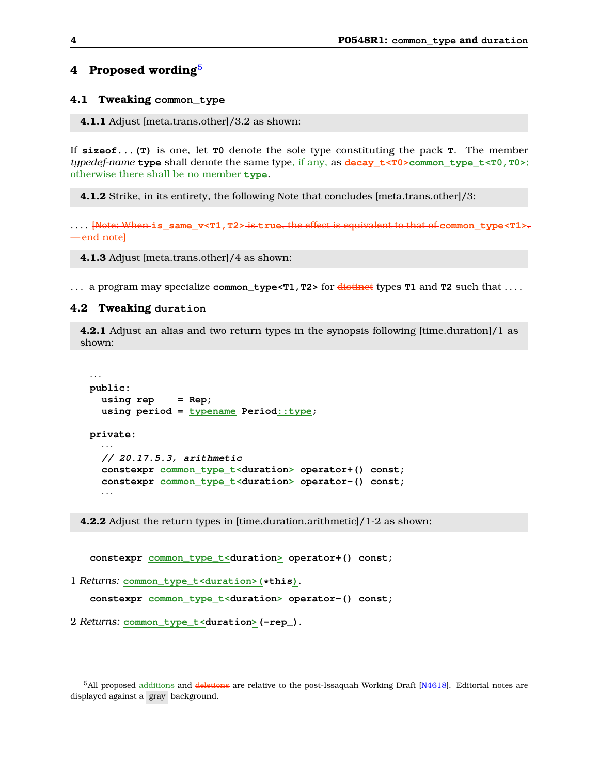# <span id="page-3-0"></span>**4 Proposed wording**[5](#page-3-1)

### **4.1 Tweaking common\_type**

**4.1.1** Adjust [meta.trans.other]/3.2 as shown:

If **sizeof...(T)** is one, let **T0** denote the sole type constituting the pack **T**. The member *typedef-name* **type** shall denote the same type, if any, as **decay\_t<T0>common\_type\_t<T0,T0>**; otherwise there shall be no member **type**.

**4.1.2** Strike, in its entirety, the following Note that concludes [meta.trans.other]/3:

. . . . [Note: When **is\_same\_v<T1,T2>** is **true**, the effect is equivalent to that of **common\_type<T1>**. -end notel

**4.1.3** Adjust [meta.trans.other]/4 as shown:

. . . a program may specialize **common\_type<T1,T2>** for distinct types **T1** and **T2** such that . . . .

#### **4.2 Tweaking duration**

**4.2.1** Adjust an alias and two return types in the synopsis following [time.duration]/1 as shown:

```
· · ·
public:
  using rep = Rep;
  using period = typename Period::type;
private:
  · · ·
  // 20.17.5.3, arithmetic
  constexpr common_type_t<duration> operator+() const;
  constexpr common_type_t<duration> operator-() const;
  · · ·
```
**4.2.2** Adjust the return types in [time.duration.arithmetic]/1-2 as shown:

**constexpr common\_type\_t<duration> operator+() const;**

1 *Returns:* **common\_type\_t<duration>(\*this)**.

**constexpr common\_type\_t<duration> operator-() const;**

2 *Returns:* **common\_type\_t<duration>(-rep\_)**.

<span id="page-3-1"></span><sup>&</sup>lt;sup>5</sup>All proposed additions and deletions are relative to the post-Issaquah Working Draft [\[N4618\]](#page-4-4). Editorial notes are displayed against a gray background.